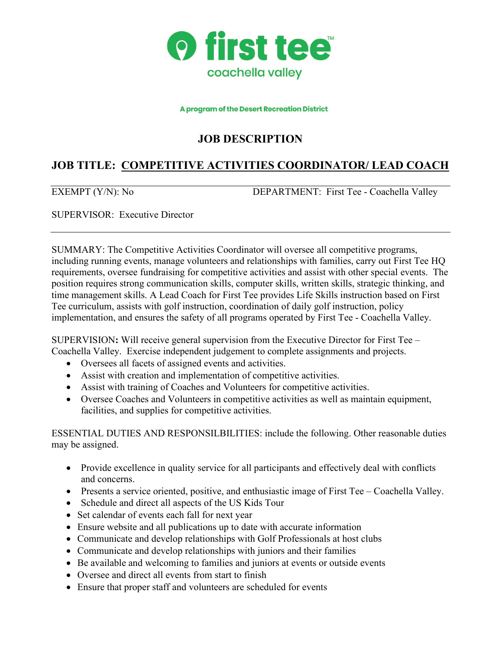

#### A program of the Desert Recreation District

## **JOB DESCRIPTION**

# **JOB TITLE: COMPETITIVE ACTIVITIES COORDINATOR/ LEAD COACH**

EXEMPT (Y/N): No DEPARTMENT: First Tee - Coachella Valley

SUPERVISOR: Executive Director

SUMMARY: The Competitive Activities Coordinator will oversee all competitive programs, including running events, manage volunteers and relationships with families, carry out First Tee HQ requirements, oversee fundraising for competitive activities and assist with other special events. The position requires strong communication skills, computer skills, written skills, strategic thinking, and time management skills. A Lead Coach for First Tee provides Life Skills instruction based on First Tee curriculum, assists with golf instruction, coordination of daily golf instruction, policy implementation, and ensures the safety of all programs operated by First Tee - Coachella Valley.

SUPERVISION**:** Will receive general supervision from the Executive Director for First Tee – Coachella Valley. Exercise independent judgement to complete assignments and projects.

- Oversees all facets of assigned events and activities.
- Assist with creation and implementation of competitive activities.
- Assist with training of Coaches and Volunteers for competitive activities.
- Oversee Coaches and Volunteers in competitive activities as well as maintain equipment, facilities, and supplies for competitive activities.

ESSENTIAL DUTIES AND RESPONSILBILITIES: include the following. Other reasonable duties may be assigned.

- Provide excellence in quality service for all participants and effectively deal with conflicts and concerns.
- Presents a service oriented, positive, and enthusiastic image of First Tee Coachella Valley.
- Schedule and direct all aspects of the US Kids Tour
- Set calendar of events each fall for next year
- Ensure website and all publications up to date with accurate information
- Communicate and develop relationships with Golf Professionals at host clubs
- Communicate and develop relationships with juniors and their families
- Be available and welcoming to families and juniors at events or outside events
- Oversee and direct all events from start to finish
- Ensure that proper staff and volunteers are scheduled for events